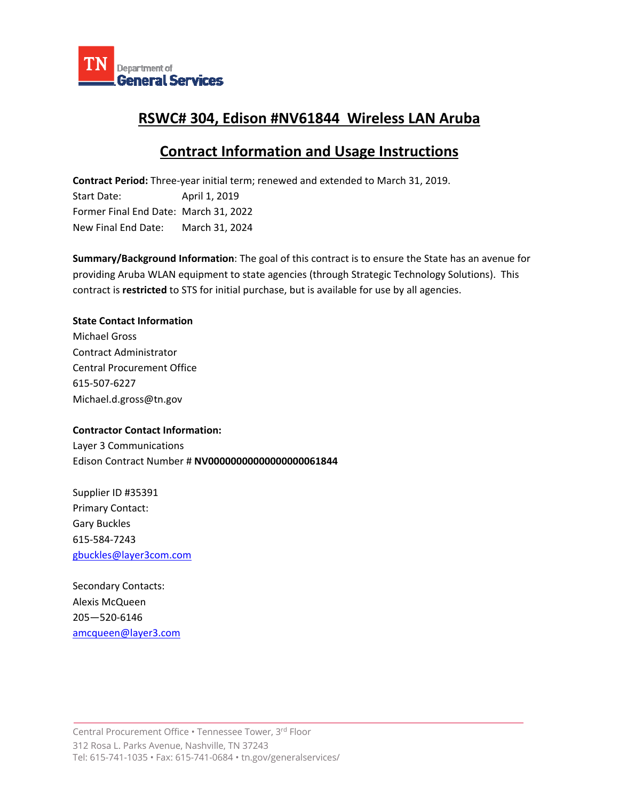

## **RSWC# 304, Edison #NV61844 Wireless LAN Aruba**

# **Contract Information and Usage Instructions**

**Contract Period:** Three‐year initial term; renewed and extended to March 31, 2019.

Start Date: April 1, 2019 Former Final End Date: March 31, 2022 New Final End Date: March 31, 2024

**Summary/Background Information**: The goal of this contract is to ensure the State has an avenue for providing Aruba WLAN equipment to state agencies (through Strategic Technology Solutions). This contract is **restricted** to STS for initial purchase, but is available for use by all agencies.

## **State Contact Information**

Michael Gross Contract Administrator Central Procurement Office 615‐507‐6227 Michael.d.gross@tn.gov

### **Contractor Contact Information:**

Layer 3 Communications Edison Contract Number # **NV00000000000000000061844**

Supplier ID #35391 Primary Contact: Gary Buckles 615‐584‐7243 gbuckles@layer3com.com

Secondary Contacts: Alexis McQueen 205—520‐6146 amcqueen@layer3.com